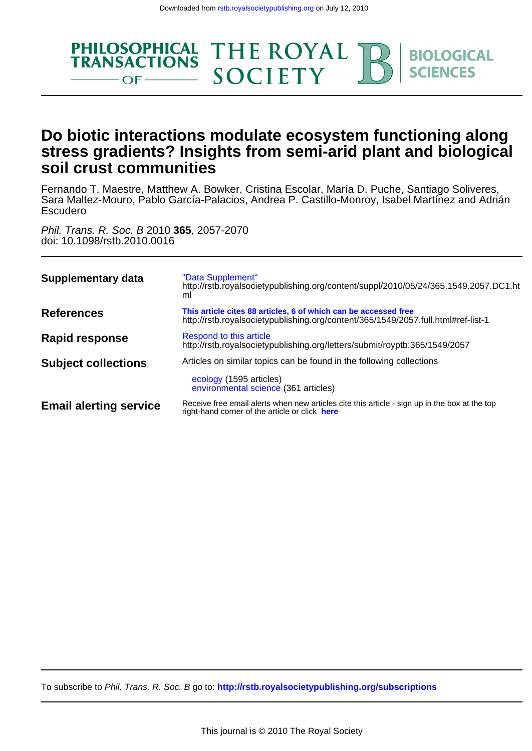

# **soil crust communities stress gradients? Insights from semi-arid plant and biological Do biotic interactions modulate ecosystem functioning along**

Escudero Sara Maltez-Mouro, Pablo García-Palacios, Andrea P. Castillo-Monroy, Isabel Martínez and Adrián Fernando T. Maestre, Matthew A. Bowker, Cristina Escolar, María D. Puche, Santiago Soliveres,

doi: 10.1098/rstb.2010.0016 Phil. Trans. R. Soc. B 2010 **365**, 2057-2070

| Supplementary data            | "Data Supplement"<br>http://rstb.royalsocietypublishing.org/content/suppl/2010/05/24/365.1549.2057.DC1.ht<br>ml                                      |
|-------------------------------|------------------------------------------------------------------------------------------------------------------------------------------------------|
| References                    | This article cites 88 articles, 6 of which can be accessed free<br>http://rstb.royalsocietypublishing.org/content/365/1549/2057.full.html#ref-list-1 |
| <b>Rapid response</b>         | Respond to this article<br>http://rstb.royalsocietypublishing.org/letters/submit/royptb;365/1549/2057                                                |
| <b>Subject collections</b>    | Articles on similar topics can be found in the following collections<br>ecology (1595 articles)<br>environmental science (361 articles)              |
| <b>Email alerting service</b> | Receive free email alerts when new articles cite this article - sign up in the box at the top<br>right-hand corner of the article or click here      |

To subscribe to Phil. Trans. R. Soc. B go to: **<http://rstb.royalsocietypublishing.org/subscriptions>**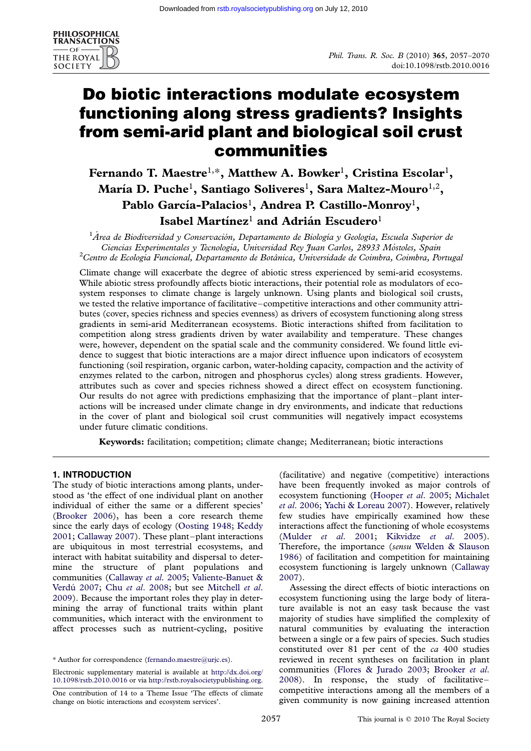

# Do biotic interactions modulate ecosystem functioning along stress gradients? Insights from semi-arid plant and biological soil crust communities

# Fernando T. Maestre<sup>1,\*</sup>, Matthew A. Bowker<sup>1</sup>, Cristina Escolar<sup>1</sup>, María D. Puche $^{\rm l}$ , Santiago Soliveres $^{\rm l}$ , Sara Maltez-Mouro $^{\rm l,2}$ , Pablo García-Palacios $^{\rm l}$ , Andrea P. Castillo-Monroy $^{\rm l}$ , Isabel Martínez<sup>1</sup> and Adrián Escudero<sup>1</sup>

 $^1$ Área de Biodiversidad y Conservación, Departamento de Biología y Geología, Escuela Superior de Ciencias Experimentales y Tecnología, Universidad Rey Juan Carlos, 28933 Móstoles, Spain  ${}^{2}$ Centro de Ecologia Funcional, Departamento de Botânica, Universidade de Coimbra, Coimbra, Portugal

Climate change will exacerbate the degree of abiotic stress experienced by semi-arid ecosystems. While abiotic stress profoundly affects biotic interactions, their potential role as modulators of ecosystem responses to climate change is largely unknown. Using plants and biological soil crusts, we tested the relative importance of facilitative–competitive interactions and other community attributes (cover, species richness and species evenness) as drivers of ecosystem functioning along stress gradients in semi-arid Mediterranean ecosystems. Biotic interactions shifted from facilitation to competition along stress gradients driven by water availability and temperature. These changes were, however, dependent on the spatial scale and the community considered. We found little evidence to suggest that biotic interactions are a major direct influence upon indicators of ecosystem functioning (soil respiration, organic carbon, water-holding capacity, compaction and the activity of enzymes related to the carbon, nitrogen and phosphorus cycles) along stress gradients. However, attributes such as cover and species richness showed a direct effect on ecosystem functioning. Our results do not agree with predictions emphasizing that the importance of plant–plant interactions will be increased under climate change in dry environments, and indicate that reductions in the cover of plant and biological soil crust communities will negatively impact ecosystems under future climatic conditions.

Keywords: facilitation; competition; climate change; Mediterranean; biotic interactions

## 1. INTRODUCTION

The study of biotic interactions among plants, understood as 'the effect of one individual plant on another individual of either the same or a different species' ([Brooker 2006\)](#page-11-0), has been a core research theme since the early days of ecology ([Oosting 1948;](#page-13-0) [Keddy](#page-12-0) [2001](#page-12-0); [Callaway 2007](#page-11-0)). These plant–plant interactions are ubiquitous in most terrestrial ecosystems, and interact with habitat suitability and dispersal to determine the structure of plant populations and communities ([Callaway](#page-11-0) et al. 2005; [Valiente-Banuet &](#page-14-0) Verdú 2007; Chu et al[. 2008](#page-11-0); but see [Mitchell](#page-13-0) et al. [2009](#page-13-0)). Because the important roles they play in determining the array of functional traits within plant communities, which interact with the environment to affect processes such as nutrient-cycling, positive

Electronic supplementary material is available at [http://dx.doi.org/](http://dx.doi.org/10.1098/rstb.2010.0016) [10.1098/rstb.2010.0016](http://dx.doi.org/10.1098/rstb.2010.0016) or via [http://rstb.royalsocietypublishing.org.](http://rstb.royalsocietypublishing.org)

(facilitative) and negative (competitive) interactions have been frequently invoked as major controls of ecosystem functioning ([Hooper](#page-12-0) et al. 2005; [Michalet](#page-13-0) et al[. 2006](#page-13-0); [Yachi & Loreau 2007](#page-14-0)). However, relatively few studies have empirically examined how these interactions affect the functioning of whole ecosystems (Mulder et al[. 2001](#page-13-0); [Kikvidze](#page-12-0) et al. 2005). Therefore, the importance (sensu [Welden & Slauson](#page-14-0) [1986](#page-14-0)) of facilitation and competition for maintaining ecosystem functioning is largely unknown ([Callaway](#page-11-0) [2007](#page-11-0)).

Assessing the direct effects of biotic interactions on ecosystem functioning using the large body of literature available is not an easy task because the vast majority of studies have simplified the complexity of natural communities by evaluating the interaction between a single or a few pairs of species. Such studies constituted over 81 per cent of the ca 400 studies reviewed in recent syntheses on facilitation in plant communities [\(Flores & Jurado 2003;](#page-12-0) [Brooker](#page-11-0) et al. [2008](#page-11-0)). In response, the study of facilitative– competitive interactions among all the members of a given community is now gaining increased attention

<sup>\*</sup> Author for correspondence [\(fernando.maestre@urjc.es](mailto:fernando.maestre@urjc.es)).

One contribution of 14 to a Theme Issue 'The effects of climate change on biotic interactions and ecosystem services'.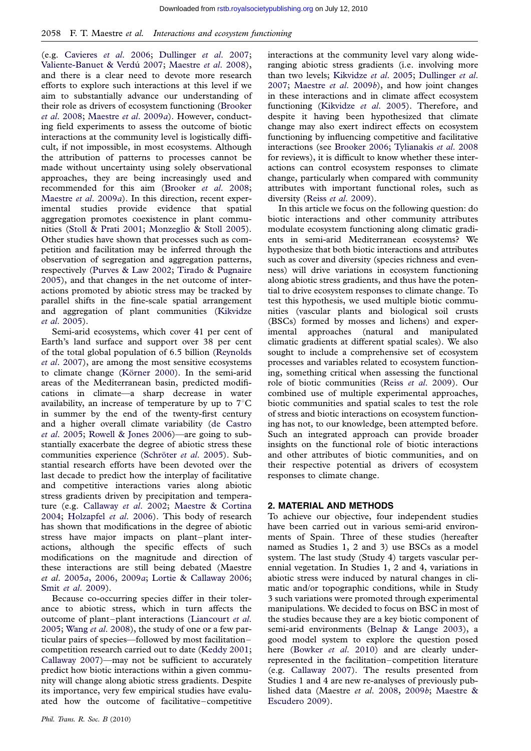(e.g. [Cavieres](#page-11-0) et al. 2006; [Dullinger](#page-12-0) et al. 2007; Valiente-Banuet & Verdú 2007; [Maestre](#page-13-0) et al. 2008), and there is a clear need to devote more research efforts to explore such interactions at this level if we aim to substantially advance our understanding of their role as drivers of ecosystem functioning [\(Brooker](#page-11-0) et al[. 2008](#page-11-0); [Maestre](#page-13-0) et al. 2009a). However, conducting field experiments to assess the outcome of biotic interactions at the community level is logistically difficult, if not impossible, in most ecosystems. Although the attribution of patterns to processes cannot be made without uncertainty using solely observational approaches, they are being increasingly used and recommended for this aim ([Brooker](#page-11-0) et al. 2008; [Maestre](#page-13-0) et al. 2009a). In this direction, recent experimental studies provide evidence that spatial aggregation promotes coexistence in plant communities [\(Stoll & Prati 2001](#page-13-0); [Monzeglio & Stoll 2005](#page-13-0)). Other studies have shown that processes such as competition and facilitation may be inferred through the observation of segregation and aggregation patterns, respectively ([Purves & Law 2002](#page-13-0); [Tirado & Pugnaire](#page-13-0) [2005](#page-13-0)), and that changes in the net outcome of interactions promoted by abiotic stress may be tracked by parallel shifts in the fine-scale spatial arrangement and aggregation of plant communities [\(Kikvidze](#page-12-0) et al[. 2005](#page-12-0)).

Semi-arid ecosystems, which cover 41 per cent of Earth's land surface and support over 38 per cent of the total global population of 6.5 billion [\(Reynolds](#page-13-0) et al[. 2007\)](#page-13-0), are among the most sensitive ecosystems to climate change (Körner 2000). In the semi-arid areas of the Mediterranean basin, predicted modifications in climate—a sharp decrease in water availability, an increase of temperature by up to  $7^{\circ}$ C in summer by the end of the twenty-first century and a higher overall climate variability ([de Castro](#page-12-0) et al[. 2005;](#page-12-0) [Rowell & Jones 2006\)](#page-13-0)—are going to substantially exacerbate the degree of abiotic stress these communities experience (Schröter et al. 2005). Substantial research efforts have been devoted over the last decade to predict how the interplay of facilitative and competitive interactions varies along abiotic stress gradients driven by precipitation and temperature (e.g. [Callaway](#page-11-0) et al. 2002; [Maestre & Cortina](#page-12-0) [2004](#page-12-0); [Holzapfel](#page-12-0) et al. 2006). This body of research has shown that modifications in the degree of abiotic stress have major impacts on plant–plant interactions, although the specific effects of such modifications on the magnitude and direction of these interactions are still being debated (Maestre et al. [2005](#page-12-0)a, [2006,](#page-13-0) [2009](#page-13-0)a; [Lortie & Callaway 2006](#page-12-0); Smit et al[. 2009](#page-13-0)).

Because co-occurring species differ in their tolerance to abiotic stress, which in turn affects the outcome of plant–plant interactions [\(Liancourt](#page-12-0) et al. [2005](#page-12-0); Wang et al[. 2008\)](#page-14-0), the study of one or a few particular pairs of species—followed by most facilitation– competition research carried out to date ([Keddy 2001](#page-12-0); [Callaway 2007\)](#page-11-0)—may not be sufficient to accurately predict how biotic interactions within a given community will change along abiotic stress gradients. Despite its importance, very few empirical studies have evaluated how the outcome of facilitative–competitive

interactions at the community level vary along wideranging abiotic stress gradients (i.e. involving more than two levels; [Kikvidze](#page-12-0) et al. 2005; [Dullinger](#page-12-0) et al. [2007](#page-12-0); [Maestre](#page-13-0) et al. 2009b), and how joint changes in these interactions and in climate affect ecosystem functioning ([Kikvidze](#page-12-0) et al. 2005). Therefore, and despite it having been hypothesized that climate change may also exert indirect effects on ecosystem functioning by influencing competitive and facilitative interactions (see [Brooker 2006;](#page-11-0) [Tylianakis](#page-14-0) et al. 2008 for reviews), it is difficult to know whether these interactions can control ecosystem responses to climate change, particularly when compared with community attributes with important functional roles, such as diversity (Reiss et al[. 2009\)](#page-13-0).

In this article we focus on the following question: do biotic interactions and other community attributes modulate ecosystem functioning along climatic gradients in semi-arid Mediterranean ecosystems? We hypothesize that both biotic interactions and attributes such as cover and diversity (species richness and evenness) will drive variations in ecosystem functioning along abiotic stress gradients, and thus have the potential to drive ecosystem responses to climate change. To test this hypothesis, we used multiple biotic communities (vascular plants and biological soil crusts (BSCs) formed by mosses and lichens) and experimental approaches (natural and manipulated climatic gradients at different spatial scales). We also sought to include a comprehensive set of ecosystem processes and variables related to ecosystem functioning, something critical when assessing the functional role of biotic communities (Reiss et al[. 2009\)](#page-13-0). Our combined use of multiple experimental approaches, biotic communities and spatial scales to test the role of stress and biotic interactions on ecosystem functioning has not, to our knowledge, been attempted before. Such an integrated approach can provide broader insights on the functional role of biotic interactions and other attributes of biotic communities, and on their respective potential as drivers of ecosystem responses to climate change.

#### 2. MATERIAL AND METHODS

To achieve our objective, four independent studies have been carried out in various semi-arid environments of Spain. Three of these studies (hereafter named as Studies 1, 2 and 3) use BSCs as a model system. The last study (Study 4) targets vascular perennial vegetation. In Studies 1, 2 and 4, variations in abiotic stress were induced by natural changes in climatic and/or topographic conditions, while in Study 3 such variations were promoted through experimental manipulations. We decided to focus on BSC in most of the studies because they are a key biotic component of semi-arid environments [\(Belnap & Lange 2003](#page-11-0)), a good model system to explore the question posed here [\(Bowker](#page-11-0) et al. 2010) and are clearly underrepresented in the facilitation–competition literature (e.g. [Callaway 2007](#page-11-0)). The results presented from Studies 1 and 4 are new re-analyses of previously published data (Maestre et al. [2008,](#page-13-0) [2009](#page-13-0)b; [Maestre &](#page-12-0) [Escudero 2009](#page-12-0)).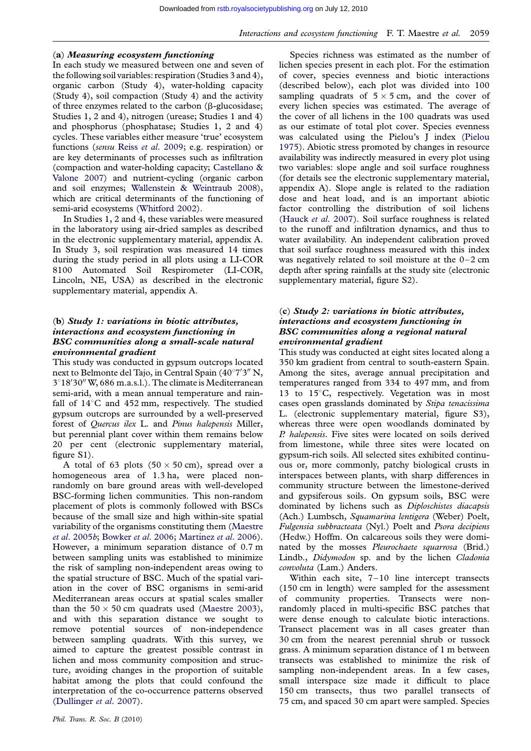#### (a) Measuring ecosystem functioning

In each study we measured between one and seven of the following soil variables: respiration (Studies 3 and 4), organic carbon (Study 4), water-holding capacity (Study 4), soil compaction (Study 4) and the activity of three enzymes related to the carbon ( $\beta$ -glucosidase; Studies 1, 2 and 4), nitrogen (urease; Studies 1 and 4) and phosphorus (phosphatase; Studies 1, 2 and 4) cycles. These variables either measure 'true' ecosystem functions (sensu Reiss et al[. 2009;](#page-13-0) e.g. respiration) or are key determinants of processes such as infiltration (compaction and water-holding capacity; [Castellano &](#page-11-0) [Valone 2007](#page-11-0)) and nutrient-cycling (organic carbon and soil enzymes; [Wallenstein & Weintraub 2008](#page-14-0)), which are critical determinants of the functioning of semi-arid ecosystems [\(Whitford 2002](#page-14-0)).

In Studies 1, 2 and 4, these variables were measured in the laboratory using air-dried samples as described in the electronic supplementary material, appendix A. In Study 3, soil respiration was measured 14 times during the study period in all plots using a LI-COR 8100 Automated Soil Respirometer (LI-COR, Lincoln, NE, USA) as described in the electronic supplementary material, appendix A.

# (b) Study 1: variations in biotic attributes, interactions and ecosystem functioning in BSC communities along a small-scale natural environmental gradient

This study was conducted in gypsum outcrops located next to Belmonte del Tajo, in Central Spain  $(40^{\circ}7'3''$  N, 3°18'30" W, 686 m.a.s.l.). The climate is Mediterranean semi-arid, with a mean annual temperature and rainfall of  $14^{\circ}$ C and  $452$  mm, respectively. The studied gypsum outcrops are surrounded by a well-preserved forest of Quercus ilex L. and Pinus halepensis Miller, but perennial plant cover within them remains below 20 per cent (electronic supplementary material, figure S1).

A total of 63 plots  $(50 \times 50 \text{ cm})$ , spread over a homogeneous area of 1.3 ha, were placed nonrandomly on bare ground areas with well-developed BSC-forming lichen communities. This non-random placement of plots is commonly followed with BSCs because of the small size and high within-site spatial variability of the organisms constituting them ([Maestre](#page-12-0) et al[. 2005](#page-12-0)b; [Bowker](#page-11-0) et al. 2006; Martínez et al. 2006). However, a minimum separation distance of 0.7 m between sampling units was established to minimize the risk of sampling non-independent areas owing to the spatial structure of BSC. Much of the spatial variation in the cover of BSC organisms in semi-arid Mediterranean areas occurs at spatial scales smaller than the  $50 \times 50$  cm quadrats used ([Maestre 2003](#page-12-0)), and with this separation distance we sought to remove potential sources of non-independence between sampling quadrats. With this survey, we aimed to capture the greatest possible contrast in lichen and moss community composition and structure, avoiding changes in the proportion of suitable habitat among the plots that could confound the interpretation of the co-occurrence patterns observed ([Dullinger](#page-12-0) et al. 2007).

Species richness was estimated as the number of lichen species present in each plot. For the estimation of cover, species evenness and biotic interactions (described below), each plot was divided into 100 sampling quadrats of  $5 \times 5$  cm, and the cover of every lichen species was estimated. The average of the cover of all lichens in the 100 quadrats was used as our estimate of total plot cover. Species evenness was calculated using the Pielou's J index [\(Pielou](#page-13-0) [1975](#page-13-0)). Abiotic stress promoted by changes in resource availability was indirectly measured in every plot using two variables: slope angle and soil surface roughness (for details see the electronic supplementary material, appendix A). Slope angle is related to the radiation dose and heat load, and is an important abiotic factor controlling the distribution of soil lichens ([Hauck](#page-12-0) et al. 2007). Soil surface roughness is related to the runoff and infiltration dynamics, and thus to water availability. An independent calibration proved that soil surface roughness measured with this index was negatively related to soil moisture at the  $0-2$  cm depth after spring rainfalls at the study site (electronic supplementary material, figure S2).

# (c) Study 2: variations in biotic attributes, interactions and ecosystem functioning in BSC communities along a regional natural environmental gradient

This study was conducted at eight sites located along a 350 km gradient from central to south-eastern Spain. Among the sites, average annual precipitation and temperatures ranged from 334 to 497 mm, and from 13 to  $15^{\circ}$ C, respectively. Vegetation was in most cases open grasslands dominated by Stipa tenacissima L. (electronic supplementary material, figure S3), whereas three were open woodlands dominated by P. halepensis. Five sites were located on soils derived from limestone, while three sites were located on gypsum-rich soils. All selected sites exhibited continuous or, more commonly, patchy biological crusts in interspaces between plants, with sharp differences in community structure between the limestone-derived and gypsiferous soils. On gypsum soils, BSC were dominated by lichens such as Diploschistes diacapsis (Ach.) Lumbsch, Squamarina lentigera (Weber) Poelt, Fulgensia subbracteata (Nyl.) Poelt and Psora decipiens (Hedw.) Hoffm. On calcareous soils they were dominated by the mosses *Pleurochaete squarrosa* (Brid.) Lindb., Didymodon sp. and by the lichen Cladonia convoluta (Lam.) Anders.

Within each site, 7-10 line intercept transects (150 cm in length) were sampled for the assessment of community properties. Transects were nonrandomly placed in multi-specific BSC patches that were dense enough to calculate biotic interactions. Transect placement was in all cases greater than 30 cm from the nearest perennial shrub or tussock grass. A minimum separation distance of 1 m between transects was established to minimize the risk of sampling non-independent areas. In a few cases, small interspace size made it difficult to place 150 cm transects, thus two parallel transects of 75 cm, and spaced 30 cm apart were sampled. Species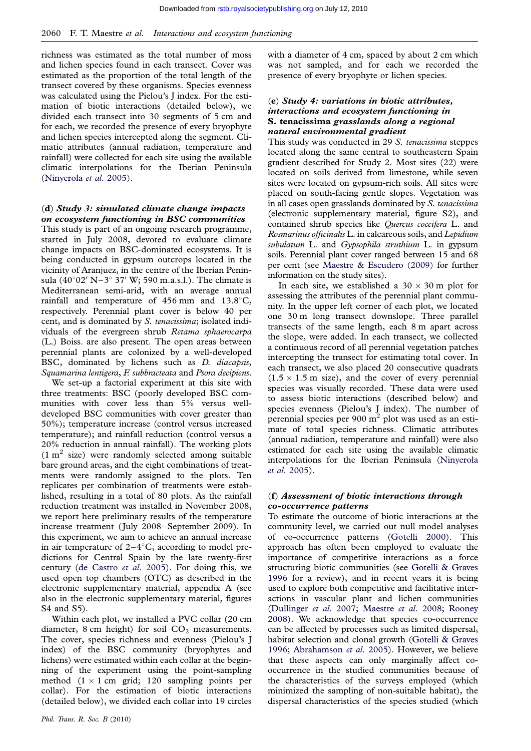richness was estimated as the total number of moss and lichen species found in each transect. Cover was estimated as the proportion of the total length of the transect covered by these organisms. Species evenness was calculated using the Pielou's J index. For the estimation of biotic interactions (detailed below), we divided each transect into 30 segments of 5 cm and for each, we recorded the presence of every bryophyte and lichen species intercepted along the segment. Climatic attributes (annual radiation, temperature and rainfall) were collected for each site using the available climatic interpolations for the Iberian Peninsula [\(Ninyerola](#page-13-0) et al. 2005).

# (d) Study 3: simulated climate change impacts on ecosystem functioning in BSC communities

This study is part of an ongoing research programme, started in July 2008, devoted to evaluate climate change impacts on BSC-dominated ecosystems. It is being conducted in gypsum outcrops located in the vicinity of Aranjuez, in the centre of the Iberian Peninsula  $(40^{\circ}02' N-3^{\circ} 37' W; 590 m.a.s.l.)$ . The climate is Mediterranean semi-arid, with an average annual rainfall and temperature of  $456$  mm and  $13.8^{\circ}$ C, respectively. Perennial plant cover is below 40 per cent, and is dominated by S. tenacissima; isolated individuals of the evergreen shrub Retama sphaerocarpa (L.) Boiss. are also present. The open areas between perennial plants are colonized by a well-developed BSC, dominated by lichens such as D. diacapsis, Squamarina lentigera, F. subbracteata and Psora decipiens.

We set-up a factorial experiment at this site with three treatments: BSC (poorly developed BSC communities with cover less than 5% versus welldeveloped BSC communities with cover greater than 50%); temperature increase (control versus increased temperature); and rainfall reduction (control versus a 20% reduction in annual rainfall). The working plots  $(1 \text{ m}^2 \text{ size})$  were randomly selected among suitable bare ground areas, and the eight combinations of treatments were randomly assigned to the plots. Ten replicates per combination of treatments were established, resulting in a total of 80 plots. As the rainfall reduction treatment was installed in November 2008, we report here preliminary results of the temperature increase treatment (July 2008–September 2009). In this experiment, we aim to achieve an annual increase in air temperature of  $2-4^{\circ}$ C, according to model predictions for Central Spain by the late twenty-first century ([de Castro](#page-12-0) et al. 2005). For doing this, we used open top chambers (OTC) as described in the electronic supplementary material, appendix A (see also in the electronic supplementary material, figures S4 and S5).

Within each plot, we installed a PVC collar (20 cm diameter, 8 cm height) for soil  $CO<sub>2</sub>$  measurements. The cover, species richness and evenness (Pielou's J index) of the BSC community (bryophytes and lichens) were estimated within each collar at the beginning of the experiment using the point-sampling method  $(1 \times 1$  cm grid; 120 sampling points per collar). For the estimation of biotic interactions (detailed below), we divided each collar into 19 circles

with a diameter of 4 cm, spaced by about 2 cm which was not sampled, and for each we recorded the presence of every bryophyte or lichen species.

## (e) Study 4: variations in biotic attributes, interactions and ecosystem functioning in S. tenacissima grasslands along a regional natural environmental gradient

This study was conducted in 29 S. tenacissima steppes located along the same central to southeastern Spain gradient described for Study 2. Most sites (22) were located on soils derived from limestone, while seven sites were located on gypsum-rich soils. All sites were placed on south-facing gentle slopes. Vegetation was in all cases open grasslands dominated by S. tenacissima (electronic supplementary material, figure S2), and contained shrub species like Quercus coccifera L. and Rosmarinus officinalis L. in calcareous soils, and Lepidium subulatum L. and Gypsophila struthium L. in gypsum soils. Perennial plant cover ranged between 15 and 68 per cent (see [Maestre & Escudero \(2009\)](#page-12-0) for further information on the study sites).

In each site, we established a  $30 \times 30$  m plot for assessing the attributes of the perennial plant community. In the upper left corner of each plot, we located one 30 m long transect downslope. Three parallel transects of the same length, each 8 m apart across the slope, were added. In each transect, we collected a continuous record of all perennial vegetation patches intercepting the transect for estimating total cover. In each transect, we also placed 20 consecutive quadrats  $(1.5 \times 1.5 \text{ m} \text{ size})$ , and the cover of every perennial species was visually recorded. These data were used to assess biotic interactions (described below) and species evenness (Pielou's J index). The number of perennial species per  $900 \text{ m}^2$  plot was used as an estimate of total species richness. Climatic attributes (annual radiation, temperature and rainfall) were also estimated for each site using the available climatic interpolations for the Iberian Peninsula ([Ninyerola](#page-13-0) et al[. 2005](#page-13-0)).

#### (f) Assessment of biotic interactions through co-occurrence patterns

To estimate the outcome of biotic interactions at the community level, we carried out null model analyses of co-occurrence patterns [\(Gotelli 2000](#page-12-0)). This approach has often been employed to evaluate the importance of competitive interactions as a force structuring biotic communities (see [Gotelli & Graves](#page-12-0) [1996](#page-12-0) for a review), and in recent years it is being used to explore both competitive and facilitative interactions in vascular plant and lichen communities [\(Dullinger](#page-12-0) et al. 2007; [Maestre](#page-13-0) et al. 2008; [Rooney](#page-13-0) [2008](#page-13-0)). We acknowledge that species co-occurrence can be affected by processes such as limited dispersal, habitat selection and clonal growth [\(Gotelli & Graves](#page-12-0) [1996](#page-12-0); [Abrahamson](#page-11-0) et al. 2005). However, we believe that these aspects can only marginally affect cooccurrence in the studied communities because of the characteristics of the surveys employed (which minimized the sampling of non-suitable habitat), the dispersal characteristics of the species studied (which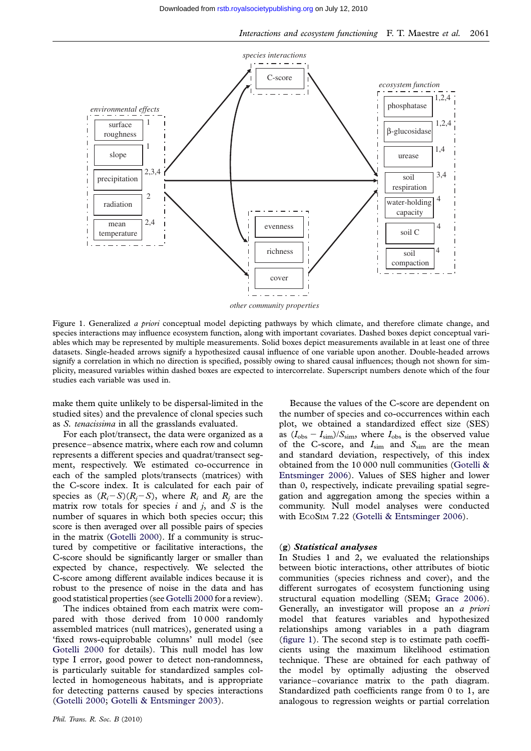<span id="page-5-0"></span>

*other community properties*

Figure 1. Generalized a priori conceptual model depicting pathways by which climate, and therefore climate change, and species interactions may influence ecosystem function, along with important covariates. Dashed boxes depict conceptual variables which may be represented by multiple measurements. Solid boxes depict measurements available in at least one of three datasets. Single-headed arrows signify a hypothesized causal influence of one variable upon another. Double-headed arrows signify a correlation in which no direction is specified, possibly owing to shared causal influences; though not shown for simplicity, measured variables within dashed boxes are expected to intercorrelate. Superscript numbers denote which of the four studies each variable was used in.

make them quite unlikely to be dispersal-limited in the studied sites) and the prevalence of clonal species such as S. tenacissima in all the grasslands evaluated.

For each plot/transect, the data were organized as a presence–absence matrix, where each row and column represents a different species and quadrat/transect segment, respectively. We estimated co-occurrence in each of the sampled plots/transects (matrices) with the C-score index. It is calculated for each pair of species as  $(R_i-S)(R_i-S)$ , where  $R_i$  and  $R_j$  are the matrix row totals for species  $i$  and  $j$ , and  $S$  is the number of squares in which both species occur; this score is then averaged over all possible pairs of species in the matrix [\(Gotelli 2000](#page-12-0)). If a community is structured by competitive or facilitative interactions, the C-score should be significantly larger or smaller than expected by chance, respectively. We selected the C-score among different available indices because it is robust to the presence of noise in the data and has good statistical properties (see [Gotelli 2000](#page-12-0) for a review).

The indices obtained from each matrix were compared with those derived from 10 000 randomly assembled matrices (null matrices), generated using a 'fixed rows-equiprobable columns' null model (see [Gotelli 2000](#page-12-0) for details). This null model has low type I error, good power to detect non-randomness, is particularly suitable for standardized samples collected in homogeneous habitats, and is appropriate for detecting patterns caused by species interactions ([Gotelli 2000](#page-12-0); [Gotelli & Entsminger 2003](#page-12-0)).

Because the values of the C-score are dependent on the number of species and co-occurrences within each plot, we obtained a standardized effect size (SES) as  $(I_{\text{obs}} - I_{\text{sim}})/S_{\text{sim}}$ , where  $I_{\text{obs}}$  is the observed value of the C-score, and  $I_{sim}$  and  $S_{sim}$  are the mean and standard deviation, respectively, of this index obtained from the 10 000 null communities ([Gotelli &](#page-12-0) [Entsminger 2006](#page-12-0)). Values of SES higher and lower than 0, respectively, indicate prevailing spatial segregation and aggregation among the species within a community. Null model analyses were conducted with ECOSIM 7.22 ([Gotelli & Entsminger 2006\)](#page-12-0).

#### (g) Statistical analyses

In Studies 1 and 2, we evaluated the relationships between biotic interactions, other attributes of biotic communities (species richness and cover), and the different surrogates of ecosystem functioning using structural equation modelling (SEM; [Grace 2006](#page-12-0)). Generally, an investigator will propose an a priori model that features variables and hypothesized relationships among variables in a path diagram (figure 1). The second step is to estimate path coefficients using the maximum likelihood estimation technique. These are obtained for each pathway of the model by optimally adjusting the observed variance–covariance matrix to the path diagram. Standardized path coefficients range from 0 to 1, are analogous to regression weights or partial correlation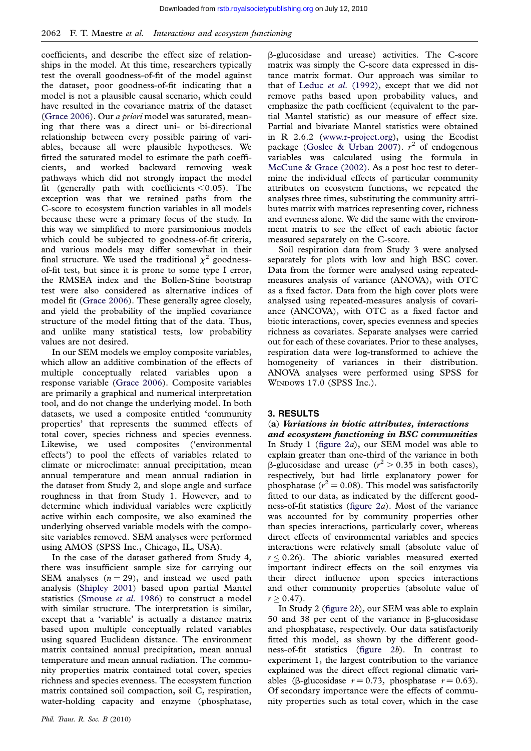coefficients, and describe the effect size of relationships in the model. At this time, researchers typically test the overall goodness-of-fit of the model against the dataset, poor goodness-of-fit indicating that a model is not a plausible causal scenario, which could have resulted in the covariance matrix of the dataset [\(Grace 2006\)](#page-12-0). Our a priori model was saturated, meaning that there was a direct uni- or bi-directional relationship between every possible pairing of variables, because all were plausible hypotheses. We fitted the saturated model to estimate the path coefficients, and worked backward removing weak pathways which did not strongly impact the model fit (generally path with coefficients  $< 0.05$ ). The exception was that we retained paths from the C-score to ecosystem function variables in all models because these were a primary focus of the study. In this way we simplified to more parsimonious models which could be subjected to goodness-of-fit criteria, and various models may differ somewhat in their final structure. We used the traditional  $\chi^2$  goodnessof-fit test, but since it is prone to some type I error, the RMSEA index and the Bollen-Stine bootstrap test were also considered as alternative indices of model fit ([Grace 2006\)](#page-12-0). These generally agree closely, and yield the probability of the implied covariance structure of the model fitting that of the data. Thus, and unlike many statistical tests, low probability values are not desired.

In our SEM models we employ composite variables, which allow an additive combination of the effects of multiple conceptually related variables upon a response variable ([Grace 2006](#page-12-0)). Composite variables are primarily a graphical and numerical interpretation tool, and do not change the underlying model. In both datasets, we used a composite entitled 'community properties' that represents the summed effects of total cover, species richness and species evenness. Likewise, we used composites ('environmental effects') to pool the effects of variables related to climate or microclimate: annual precipitation, mean annual temperature and mean annual radiation in the dataset from Study 2, and slope angle and surface roughness in that from Study 1. However, and to determine which individual variables were explicitly active within each composite, we also examined the underlying observed variable models with the composite variables removed. SEM analyses were performed using AMOS (SPSS Inc., Chicago, IL, USA).

In the case of the dataset gathered from Study 4, there was insufficient sample size for carrying out SEM analyses  $(n = 29)$ , and instead we used path analysis [\(Shipley 2001\)](#page-13-0) based upon partial Mantel statistics [\(Smouse](#page-13-0) et al. 1986) to construct a model with similar structure. The interpretation is similar, except that a 'variable' is actually a distance matrix based upon multiple conceptually related variables using squared Euclidean distance. The environment matrix contained annual precipitation, mean annual temperature and mean annual radiation. The community properties matrix contained total cover, species richness and species evenness. The ecosystem function matrix contained soil compaction, soil C, respiration, water-holding capacity and enzyme (phosphatase,

b-glucosidase and urease) activities. The C-score matrix was simply the C-score data expressed in distance matrix format. Our approach was similar to that of Leduc et al[. \(1992\)](#page-12-0), except that we did not remove paths based upon probability values, and emphasize the path coefficient (equivalent to the partial Mantel statistic) as our measure of effect size. Partial and bivariate Mantel statistics were obtained in R 2.6.2 [\(www.r-project.org](http://www.r-project.org)), using the Ecodist package ([Goslee & Urban 2007](#page-12-0)).  $r^2$  of endogenous variables was calculated using the formula in [McCune & Grace \(2002\).](#page-13-0) As a post hoc test to determine the individual effects of particular community attributes on ecosystem functions, we repeated the analyses three times, substituting the community attributes matrix with matrices representing cover, richness and evenness alone. We did the same with the environment matrix to see the effect of each abiotic factor measured separately on the C-score.

Soil respiration data from Study 3 were analysed separately for plots with low and high BSC cover. Data from the former were analysed using repeatedmeasures analysis of variance (ANOVA), with OTC as a fixed factor. Data from the high cover plots were analysed using repeated-measures analysis of covariance (ANCOVA), with OTC as a fixed factor and biotic interactions, cover, species evenness and species richness as covariates. Separate analyses were carried out for each of these covariates. Prior to these analyses, respiration data were log-transformed to achieve the homogeneity of variances in their distribution. ANOVA analyses were performed using SPSS for WINDOWS 17.0 (SPSS Inc.).

#### 3. RESULTS

# (a) Variations in biotic attributes, interactions

and ecosystem functioning in BSC communities In Study 1 [\(figure 2](#page-7-0)a), our SEM model was able to explain greater than one-third of the variance in both  $\beta$ -glucosidase and urease ( $r^2 > 0.35$  in both cases), respectively, but had little explanatory power for phosphatase ( $r^2 = 0.08$ ). This model was satisfactorily fitted to our data, as indicated by the different goodness-of-fit statistics [\(figure 2](#page-7-0)a). Most of the variance was accounted for by community properties other than species interactions, particularly cover, whereas direct effects of environmental variables and species interactions were relatively small (absolute value of  $r \leq 0.26$ ). The abiotic variables measured exerted important indirect effects on the soil enzymes via their direct influence upon species interactions and other community properties (absolute value of  $r > 0.47$ .

In Study 2 [\(figure 2](#page-7-0)b), our SEM was able to explain 50 and 38 per cent of the variance in  $\beta$ -glucosidase and phosphatase, respectively. Our data satisfactorily fitted this model, as shown by the different goodness-of-fit statistics ([figure 2](#page-7-0)b). In contrast to experiment 1, the largest contribution to the variance explained was the direct effect regional climatic variables ( $\beta$ -glucosidase  $r = 0.73$ , phosphatase  $r = 0.63$ ). Of secondary importance were the effects of community properties such as total cover, which in the case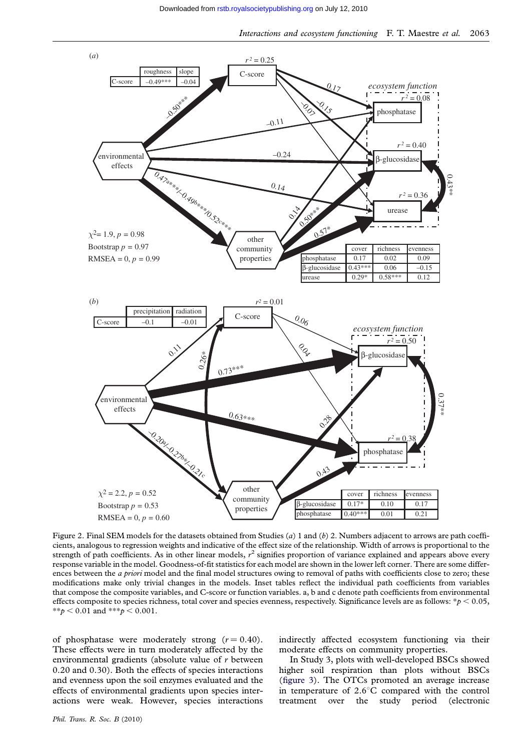<span id="page-7-0"></span>

Figure 2. Final SEM models for the datasets obtained from Studies (a) 1 and (b) 2. Numbers adjacent to arrows are path coefficients, analogous to regression weights and indicative of the effect size of the relationship. Width of arrows is proportional to the strength of path coefficients. As in other linear models,  $r^2$  signifies proportion of variance explained and appears above every response variable in the model. Goodness-of-fit statistics for each model are shown in the lower left corner. There are some differences between the *a priori* model and the final model structures owing to removal of paths with coefficients close to zero; these modifications make only trivial changes in the models. Inset tables reflect the individual path coefficients from variables that compose the composite variables, and C-score or function variables. a, b and c denote path coefficients from environmental effects composite to species richness, total cover and species evenness, respectively. Significance levels are as follows:  $*p < 0.05$ , \*\*p < 0.01 and \*\*\*p < 0.001.

of phosphatase were moderately strong  $(r = 0.40)$ . These effects were in turn moderately affected by the environmental gradients (absolute value of r between 0.20 and 0.30). Both the effects of species interactions and evenness upon the soil enzymes evaluated and the effects of environmental gradients upon species interactions were weak. However, species interactions

indirectly affected ecosystem functioning via their moderate effects on community properties.

In Study 3, plots with well-developed BSCs showed higher soil respiration than plots without BSCs ([figure 3\)](#page-8-0). The OTCs promoted an average increase in temperature of  $2.6^{\circ}$ C compared with the control treatment over the study period (electronic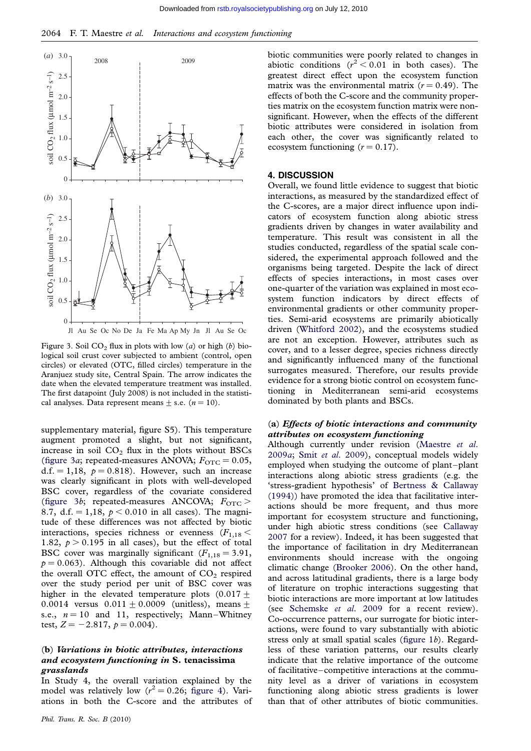<span id="page-8-0"></span>

Figure 3. Soil  $CO<sub>2</sub>$  flux in plots with low (a) or high (b) biological soil crust cover subjected to ambient (control, open circles) or elevated (OTC, filled circles) temperature in the Aranjuez study site, Central Spain. The arrow indicates the date when the elevated temperature treatment was installed. The first datapoint (July 2008) is not included in the statistical analyses. Data represent means  $\pm$  s.e. ( $n = 10$ ).

supplementary material, figure S5). This temperature augment promoted a slight, but not significant, increase in soil  $CO<sub>2</sub>$  flux in the plots without BSCs (figure 3a; repeated-measures ANOVA;  $F_{\text{OTC}} = 0.05$ , d.f. = 1,18,  $p = 0.818$ ). However, such an increase was clearly significant in plots with well-developed BSC cover, regardless of the covariate considered (figure 3b; repeated-measures ANCOVA;  $F_{\text{OTC}}$  > 8.7, d.f. = 1,18,  $p < 0.010$  in all cases). The magnitude of these differences was not affected by biotic interactions, species richness or evenness  $(F_{1,18} <$ 1.82,  $p > 0.195$  in all cases), but the effect of total BSC cover was marginally significant  $(F_{1,18} = 3.91,$  $p = 0.063$ . Although this covariable did not affect the overall OTC effect, the amount of  $CO<sub>2</sub>$  respired over the study period per unit of BSC cover was higher in the elevated temperature plots  $(0.017 +$ 0.0014 versus  $0.011 \pm 0.0009$  (unitless), means  $\pm$ s.e.,  $n = 10$  and 11, respectively; Mann–Whitney test,  $Z = -2.817$ ,  $p = 0.004$ .

#### (b) Variations in biotic attributes, interactions and ecosystem functioning in S. tenacissima grasslands

In Study 4, the overall variation explained by the model was relatively low  $(r^2 = 0.26$ ; [figure 4\)](#page-9-0). Variations in both the C-score and the attributes of biotic communities were poorly related to changes in abiotic conditions  $(r^2 < 0.01$  in both cases). The greatest direct effect upon the ecosystem function matrix was the environmental matrix  $(r = 0.49)$ . The effects of both the C-score and the community properties matrix on the ecosystem function matrix were nonsignificant. However, when the effects of the different biotic attributes were considered in isolation from each other, the cover was significantly related to ecosystem functioning  $(r = 0.17)$ .

# 4. DISCUSSION

Overall, we found little evidence to suggest that biotic interactions, as measured by the standardized effect of the C-scores, are a major direct influence upon indicators of ecosystem function along abiotic stress gradients driven by changes in water availability and temperature. This result was consistent in all the studies conducted, regardless of the spatial scale considered, the experimental approach followed and the organisms being targeted. Despite the lack of direct effects of species interactions, in most cases over one-quarter of the variation was explained in most ecosystem function indicators by direct effects of environmental gradients or other community properties. Semi-arid ecosystems are primarily abiotically driven ([Whitford 2002](#page-14-0)), and the ecosystems studied are not an exception. However, attributes such as cover, and to a lesser degree, species richness directly and significantly influenced many of the functional surrogates measured. Therefore, our results provide evidence for a strong biotic control on ecosystem functioning in Mediterranean semi-arid ecosystems dominated by both plants and BSCs.

#### (a) Effects of biotic interactions and community attributes on ecosystem functioning

Although currently under revision [\(Maestre](#page-13-0) et al. [2009](#page-13-0)a; Smit et al[. 2009](#page-13-0)), conceptual models widely employed when studying the outcome of plant–plant interactions along abiotic stress gradients (e.g. the 'stress-gradient hypothesis' of [Bertness & Callaway](#page-11-0) [\(1994\)\)](#page-11-0) have promoted the idea that facilitative interactions should be more frequent, and thus more important for ecosystem structure and functioning, under high abiotic stress conditions (see [Callaway](#page-11-0) [2007](#page-11-0) for a review). Indeed, it has been suggested that the importance of facilitation in dry Mediterranean environments should increase with the ongoing climatic change [\(Brooker 2006](#page-11-0)). On the other hand, and across latitudinal gradients, there is a large body of literature on trophic interactions suggesting that biotic interactions are more important at low latitudes (see [Schemske](#page-13-0) et al. 2009 for a recent review). Co-occurrence patterns, our surrogate for biotic interactions, were found to vary substantially with abiotic stress only at small spatial scales [\(figure 1](#page-5-0)b). Regardless of these variation patterns, our results clearly indicate that the relative importance of the outcome of facilitative–competitive interactions at the community level as a driver of variations in ecosystem functioning along abiotic stress gradients is lower than that of other attributes of biotic communities.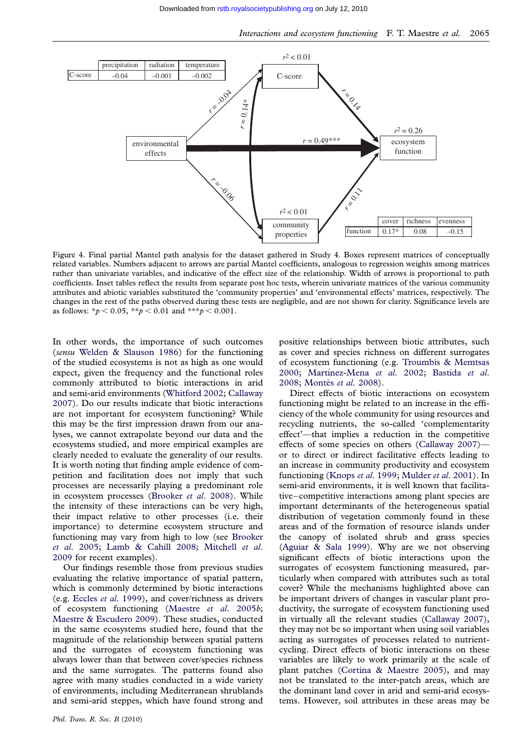<span id="page-9-0"></span>

Figure 4. Final partial Mantel path analysis for the dataset gathered in Study 4. Boxes represent matrices of conceptually related variables. Numbers adjacent to arrows are partial Mantel coefficients, analogous to regression weights among matrices rather than univariate variables, and indicative of the effect size of the relationship. Width of arrows is proportional to path coefficients. Inset tables reflect the results from separate post hoc tests, wherein univariate matrices of the various community attributes and abiotic variables substituted the 'community properties' and 'environmental effects' matrices, respectively. The changes in the rest of the paths observed during these tests are negligible, and are not shown for clarity. Significance levels are as follows:  $* p < 0.05$ ,  $* p < 0.01$  and  $* * p < 0.001$ .

In other words, the importance of such outcomes (sensu [Welden & Slauson 1986](#page-14-0)) for the functioning of the studied ecosystems is not as high as one would expect, given the frequency and the functional roles commonly attributed to biotic interactions in arid and semi-arid environments [\(Whitford 2002](#page-14-0); [Callaway](#page-11-0) [2007](#page-11-0)). Do our results indicate that biotic interactions are not important for ecosystem functioning? While this may be the first impression drawn from our analyses, we cannot extrapolate beyond our data and the ecosystems studied, and more empirical examples are clearly needed to evaluate the generality of our results. It is worth noting that finding ample evidence of competition and facilitation does not imply that such processes are necessarily playing a predominant role in ecosystem processes ([Brooker](#page-11-0) et al. 2008). While the intensity of these interactions can be very high, their impact relative to other processes (i.e. their importance) to determine ecosystem structure and functioning may vary from high to low (see [Brooker](#page-11-0) et al[. 2005;](#page-11-0) [Lamb & Cahill 2008;](#page-12-0) [Mitchell](#page-13-0) et al. [2009](#page-13-0) for recent examples).

Our findings resemble those from previous studies evaluating the relative importance of spatial pattern, which is commonly determined by biotic interactions (e.g. Eccles et al[. 1999](#page-12-0)), and cover/richness as drivers of ecosystem functioning [\(Maestre](#page-12-0) et al. 2005b; [Maestre & Escudero 2009\)](#page-12-0). These studies, conducted in the same ecosystems studied here, found that the magnitude of the relationship between spatial pattern and the surrogates of ecosystem functioning was always lower than that between cover/species richness and the same surrogates. The patterns found also agree with many studies conducted in a wide variety of environments, including Mediterranean shrublands and semi-arid steppes, which have found strong and positive relationships between biotic attributes, such as cover and species richness on different surrogates of ecosystem functioning (e.g. [Troumbis & Memtsas](#page-13-0) [2000](#page-13-0); Martínez-Mena et al. 2002; [Bastida](#page-11-0) et al. [2008](#page-11-0); Montès et al. 2008).

Direct effects of biotic interactions on ecosystem functioning might be related to an increase in the efficiency of the whole community for using resources and recycling nutrients, the so-called 'complementarity effect'—that implies a reduction in the competitive effects of some species on others ([Callaway 2007](#page-11-0)) or to direct or indirect facilitative effects leading to an increase in community productivity and ecosystem functioning [\(Knops](#page-12-0) et al. 1999; [Mulder](#page-13-0) et al. 2001). In semi-arid environments, it is well known that facilitative–competitive interactions among plant species are important determinants of the heterogeneous spatial distribution of vegetation commonly found in these areas and of the formation of resource islands under the canopy of isolated shrub and grass species ([Aguiar & Sala 1999](#page-11-0)). Why are we not observing significant effects of biotic interactions upon the surrogates of ecosystem functioning measured, particularly when compared with attributes such as total cover? While the mechanisms highlighted above can be important drivers of changes in vascular plant productivity, the surrogate of ecosystem functioning used in virtually all the relevant studies [\(Callaway 2007](#page-11-0)), they may not be so important when using soil variables acting as surrogates of processes related to nutrientcycling. Direct effects of biotic interactions on these variables are likely to work primarily at the scale of plant patches [\(Cortina & Maestre 2005](#page-11-0)), and may not be translated to the inter-patch areas, which are the dominant land cover in arid and semi-arid ecosystems. However, soil attributes in these areas may be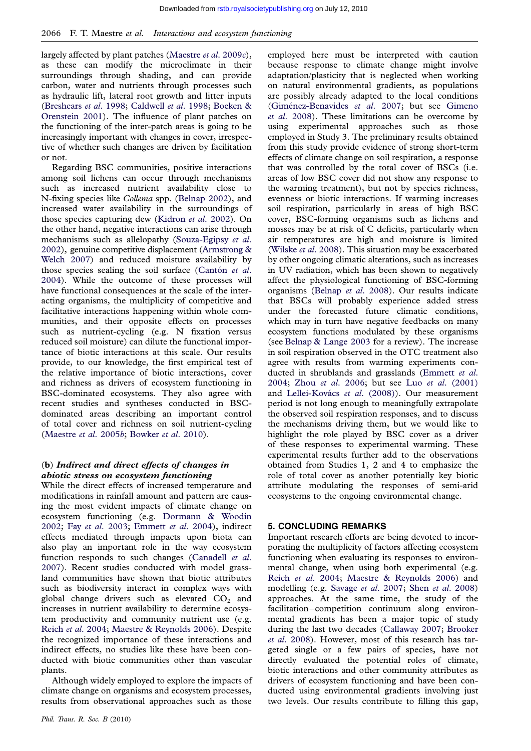largely affected by plant patches ([Maestre](#page-13-0) et al. 2009c), as these can modify the microclimate in their surroundings through shading, and can provide carbon, water and nutrients through processes such as hydraulic lift, lateral root growth and litter inputs [\(Breshears](#page-11-0) et al. 1998; [Caldwell](#page-11-0) et al. 1998; [Boeken &](#page-11-0) [Orenstein 2001](#page-11-0)). The influence of plant patches on the functioning of the inter-patch areas is going to be increasingly important with changes in cover, irrespective of whether such changes are driven by facilitation or not.

Regarding BSC communities, positive interactions among soil lichens can occur through mechanisms such as increased nutrient availability close to N-fixing species like Collema spp. ([Belnap 2002\)](#page-11-0), and increased water availability in the surroundings of those species capturing dew ([Kidron](#page-12-0) et al. 2002). On the other hand, negative interactions can arise through mechanisms such as allelopathy [\(Souza-Egipsy](#page-13-0) et al. [2002](#page-13-0)), genuine competitive displacement [\(Armstrong &](#page-11-0) [Welch 2007](#page-11-0)) and reduced moisture availability by those species sealing the soil surface (Cantón  $et$  al. [2004](#page-11-0)). While the outcome of these processes will have functional consequences at the scale of the interacting organisms, the multiplicity of competitive and facilitative interactions happening within whole communities, and their opposite effects on processes such as nutrient-cycling (e.g. N fixation versus reduced soil moisture) can dilute the functional importance of biotic interactions at this scale. Our results provide, to our knowledge, the first empirical test of the relative importance of biotic interactions, cover and richness as drivers of ecosystem functioning in BSC-dominated ecosystems. They also agree with recent studies and syntheses conducted in BSCdominated areas describing an important control of total cover and richness on soil nutrient-cycling [\(Maestre](#page-12-0) et al. 2005b; [Bowker](#page-11-0) et al. 2010).

# (b) Indirect and direct effects of changes in abiotic stress on ecosystem functioning

While the direct effects of increased temperature and modifications in rainfall amount and pattern are causing the most evident impacts of climate change on ecosystem functioning (e.g. [Dormann & Woodin](#page-12-0) [2002](#page-12-0); Fay et al[. 2003](#page-12-0); [Emmett](#page-12-0) et al. 2004), indirect effects mediated through impacts upon biota can also play an important role in the way ecosystem function responds to such changes [\(Canadell](#page-11-0) et al. [2007](#page-11-0)). Recent studies conducted with model grassland communities have shown that biotic attributes such as biodiversity interact in complex ways with global change drivers such as elevated  $CO<sub>2</sub>$  and increases in nutrient availability to determine ecosystem productivity and community nutrient use (e.g. Reich et al[. 2004](#page-13-0); [Maestre & Reynolds 2006](#page-12-0)). Despite the recognized importance of these interactions and indirect effects, no studies like these have been conducted with biotic communities other than vascular plants.

Although widely employed to explore the impacts of climate change on organisms and ecosystem processes, results from observational approaches such as those

employed here must be interpreted with caution because response to climate change might involve adaptation/plasticity that is neglected when working on natural environmental gradients, as populations are possibly already adapted to the local conditions (Giménez-Benavides et al. 2007; but see [Gimeno](#page-12-0) et al[. 2008\)](#page-12-0). These limitations can be overcome by using experimental approaches such as those employed in Study 3. The preliminary results obtained from this study provide evidence of strong short-term effects of climate change on soil respiration, a response that was controlled by the total cover of BSCs (i.e. areas of low BSC cover did not show any response to the warming treatment), but not by species richness, evenness or biotic interactions. If warming increases soil respiration, particularly in areas of high BSC cover, BSC-forming organisms such as lichens and mosses may be at risk of C deficits, particularly when air temperatures are high and moisture is limited [\(Wilske](#page-14-0) et al. 2008). This situation may be exacerbated by other ongoing climatic alterations, such as increases in UV radiation, which has been shown to negatively affect the physiological functioning of BSC-forming organisms ([Belnap](#page-11-0) et al. 2008). Our results indicate that BSCs will probably experience added stress under the forecasted future climatic conditions, which may in turn have negative feedbacks on many ecosystem functions modulated by these organisms (see [Belnap & Lange 2003](#page-11-0) for a review). The increase in soil respiration observed in the OTC treatment also agree with results from warming experiments conducted in shrublands and grasslands [\(Emmett](#page-12-0) et al. [2004](#page-12-0); Zhou et al[. 2006](#page-14-0); but see Luo et al[. \(2001\)](#page-12-0) and Lellei-Kovács et al. (2008)). Our measurement period is not long enough to meaningfully extrapolate the observed soil respiration responses, and to discuss the mechanisms driving them, but we would like to highlight the role played by BSC cover as a driver of these responses to experimental warming. These experimental results further add to the observations obtained from Studies 1, 2 and 4 to emphasize the role of total cover as another potentially key biotic attribute modulating the responses of semi-arid ecosystems to the ongoing environmental change.

### 5. CONCLUDING REMARKS

Important research efforts are being devoted to incorporating the multiplicity of factors affecting ecosystem functioning when evaluating its responses to environmental change, when using both experimental (e.g. Reich et al[. 2004;](#page-13-0) [Maestre & Reynolds 2006\)](#page-12-0) and modelling (e.g. [Savage](#page-13-0) et al. 2007; Shen et al[. 2008](#page-13-0)) approaches. At the same time, the study of the facilitation–competition continuum along environmental gradients has been a major topic of study during the last two decades ([Callaway 2007;](#page-11-0) [Brooker](#page-11-0) et al[. 2008\)](#page-11-0). However, most of this research has targeted single or a few pairs of species, have not directly evaluated the potential roles of climate, biotic interactions and other community attributes as drivers of ecosystem functioning and have been conducted using environmental gradients involving just two levels. Our results contribute to filling this gap,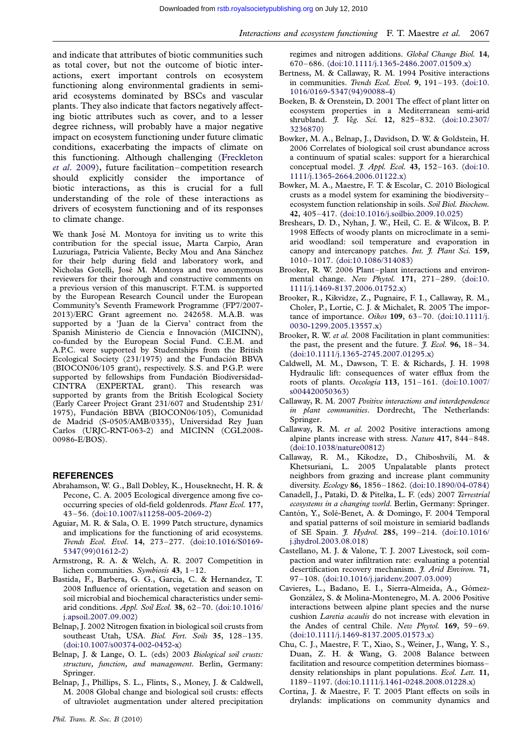<span id="page-11-0"></span>and indicate that attributes of biotic communities such as total cover, but not the outcome of biotic interactions, exert important controls on ecosystem functioning along environmental gradients in semiarid ecosystems dominated by BSCs and vascular plants. They also indicate that factors negatively affecting biotic attributes such as cover, and to a lesser degree richness, will probably have a major negative impact on ecosystem functioning under future climatic conditions, exacerbating the impacts of climate on this functioning. Although challenging [\(Freckleton](#page-12-0) et al[. 2009](#page-12-0)), future facilitation–competition research should explicitly consider the importance of biotic interactions, as this is crucial for a full understanding of the role of these interactions as drivers of ecosystem functioning and of its responses to climate change.

We thank José M. Montoya for inviting us to write this contribution for the special issue, Marta Carpio, Aran Luzuriaga, Patricia Valiente, Becky Mou and Ana Sánchez for their help during field and laboratory work, and Nicholas Gotelli, José M. Montoya and two anonymous reviewers for their thorough and constructive comments on a previous version of this manuscript. F.T.M. is supported by the European Research Council under the European Community's Seventh Framework Programme (FP7/2007- 2013)/ERC Grant agreement no. 242658. M.A.B. was supported by a 'Juan de la Cierva' contract from the Spanish Ministerio de Ciencia e Innovación (MICINN), co-funded by the European Social Fund. C.E.M. and A.P.C. were supported by Studentships from the British Ecological Society (231/1975) and the Fundación BBVA (BIOCON06/105 grant), respectively. S.S. and P.G.P. were supported by fellowships from Fundación Biodiversidad-CINTRA (EXPERTAL grant). This research was supported by grants from the British Ecological Society (Early Career Project Grant 231/607 and Studentship 231/ 1975), Fundación BBVA (BIOCON06/105), Comunidad de Madrid (S-0505/AMB/0335), Universidad Rey Juan Carlos (URJC-RNT-063-2) and MICINN (CGL2008- 00986-E/BOS).

#### **REFERENCES**

- Abrahamson, W. G., Ball Dobley, K., Houseknecht, H. R. & Pecone, C. A. 2005 Ecological divergence among five cooccurring species of old-field goldenrods. Plant Ecol. 177, 43–56. [\(doi:10.1007/s11258-005-2069-2](http://dx.doi.org/doi:10.1007/s11258-005-2069-2))
- Aguiar, M. R. & Sala, O. E. 1999 Patch structure, dynamics and implications for the functioning of arid ecosystems. Trends Ecol. Evol. 14, 273–277. ([doi:10.1016/S0169-](http://dx.doi.org/doi:10.1016/S0169-5347(99)01612-2) [5347\(99\)01612-2\)](http://dx.doi.org/doi:10.1016/S0169-5347(99)01612-2)
- Armstrong, R. A. & Welch, A. R. 2007 Competition in lichen communities. Symbiosis 43, 1–12.
- Bastida, F., Barbera, G. G., Garcia, C. & Hernandez, T. 2008 Influence of orientation, vegetation and season on soil microbial and biochemical characteristics under semiarid conditions. Appl. Soil Ecol. 38, 62–70. ([doi:10.1016/](http://dx.doi.org/doi:10.1016/j.apsoil.2007.09.002) [j.apsoil.2007.09.002](http://dx.doi.org/doi:10.1016/j.apsoil.2007.09.002))
- Belnap, J. 2002 Nitrogen fixation in biological soil crusts from southeast Utah, USA. Biol. Fert. Soils 35, 128-135. [\(doi:10.1007/s00374-002-0452-x\)](http://dx.doi.org/doi:10.1007/s00374-002-0452-x)
- Belnap, J. & Lange, O. L. (eds) 2003 Biological soil crusts: structure, function, and management. Berlin, Germany: Springer.
- Belnap, J., Phillips, S. L., Flints, S., Money, J. & Caldwell, M. 2008 Global change and biological soil crusts: effects of ultraviolet augmentation under altered precipitation

regimes and nitrogen additions. Global Change Biol. 14, 670–686. [\(doi:10.1111/j.1365-2486.2007.01509.x](http://dx.doi.org/doi:10.1111/j.1365-2486.2007.01509.x))

- Bertness, M. & Callaway, R. M. 1994 Positive interactions in communities. Trends Ecol. Evol. 9, 191-193. [\(doi:10.](http://dx.doi.org/doi:10.1016/0169-5347(94)90088-4) [1016/0169-5347\(94\)90088-4](http://dx.doi.org/doi:10.1016/0169-5347(94)90088-4))
- Boeken, B. & Orenstein, D. 2001 The effect of plant litter on ecosystem properties in a Mediterranean semi-arid shrubland. *J. Veg. Sci.* 12, 825-832. ([doi:10.2307/](http://dx.doi.org/doi:10.2307/3236870) [3236870\)](http://dx.doi.org/doi:10.2307/3236870)
- Bowker, M. A., Belnap, J., Davidson, D. W. & Goldstein, H. 2006 Correlates of biological soil crust abundance across a continuum of spatial scales: support for a hierarchical conceptual model.  $\hat{J}$ . Appl. Ecol. 43, 152-163. [\(doi:10.](http://dx.doi.org/doi:10.1111/j.1365-2664.2006.01122.x) [1111/j.1365-2664.2006.01122.x](http://dx.doi.org/doi:10.1111/j.1365-2664.2006.01122.x))
- Bowker, M. A., Maestre, F. T. & Escolar, C. 2010 Biological crusts as a model system for examining the biodiversity– ecosystem function relationship in soils. Soil Biol. Biochem. 42, 405–417. ([doi:10.1016/j.soilbio.2009.10.025\)](http://dx.doi.org/doi:10.1016/j.soilbio.2009.10.025)
- Breshears, D. D., Nyhan, J. W., Heil, C. E. & Wilcox, B. P. 1998 Effects of woody plants on microclimate in a semiarid woodland: soil temperature and evaporation in canopy and intercanopy patches. Int. J. Plant Sci. 159, 1010–1017. [\(doi:10.1086/314083\)](http://dx.doi.org/doi:10.1086/314083)
- Brooker, R. W. 2006 Plant–plant interactions and environmental change. New Phytol. 171, 271–289. [\(doi:10.](http://dx.doi.org/doi:10.1111/j.1469-8137.2006.01752.x) [1111/j.1469-8137.2006.01752.x](http://dx.doi.org/doi:10.1111/j.1469-8137.2006.01752.x))
- Brooker, R., Kikvidze, Z., Pugnaire, F. I., Callaway, R. M., Choler, P., Lortie, C. J. & Michalet, R. 2005 The importance of importance. Oikos 109, 63–70. [\(doi:10.1111/j.](http://dx.doi.org/doi:10.1111/j.0030-1299.2005.13557.x) [0030-1299.2005.13557.x](http://dx.doi.org/doi:10.1111/j.0030-1299.2005.13557.x))
- Brooker, R. W. et al. 2008 Facilitation in plant communities: the past, the present and the future.  $J. Ecol.$  96, 18-34. [\(doi:10.1111/j.1365-2745.2007.01295.x](http://dx.doi.org/doi:10.1111/j.1365-2745.2007.01295.x))
- Caldwell, M. M., Dawson, T. E. & Richards, J. H. 1998 Hydraulic lift: consequences of water efflux from the roots of plants. Oecologia 113, 151–161. ([doi:10.1007/](http://dx.doi.org/doi:10.1007/s004420050363) [s004420050363](http://dx.doi.org/doi:10.1007/s004420050363))
- Callaway, R. M. 2007 Positive interactions and interdependence in plant communities. Dordrecht, The Netherlands: Springer.
- Callaway, R. M. et al. 2002 Positive interactions among alpine plants increase with stress. Nature 417, 844–848. [\(doi:10.1038/nature00812](http://dx.doi.org/doi:10.1038/nature00812))
- Callaway, R. M., Kikodze, D., Chiboshvili, M. & Khetsuriani, L. 2005 Unpalatable plants protect neighbors from grazing and increase plant community diversity. Ecology 86, 1856–1862. [\(doi:10.1890/04-0784\)](http://dx.doi.org/doi:10.1890/04-0784)
- Canadell, J., Pataki, D. & Pitelka, L. F. (eds) 2007 Terrestrial ecosystems in a changing world. Berlin, Germany: Springer.
- Cantón, Y., Solé-Benet, A. & Domingo, F. 2004 Temporal and spatial patterns of soil moisture in semiarid badlands of SE Spain. *J. Hydrol.* 285, 199-214. ([doi:10.1016/](http://dx.doi.org/doi:10.1016/j.jhydrol.2003.08.018) [j.jhydrol.2003.08.018\)](http://dx.doi.org/doi:10.1016/j.jhydrol.2003.08.018)
- Castellano, M. J. & Valone, T. J. 2007 Livestock, soil compaction and water infiltration rate: evaluating a potential desertification recovery mechanism. J. Arid Environ. 71, 97–108. [\(doi:10.1016/j.jaridenv.2007.03.009](http://dx.doi.org/doi:10.1016/j.jaridenv.2007.03.009))
- Cavieres, L., Badano, E. I., Sierra-Almeida, A., Gómez-González, S. & Molina-Montenegro, M. A. 2006 Positive interactions between alpine plant species and the nurse cushion Laretia acaulis do not increase with elevation in the Andes of central Chile. New Phytol. 169, 59–69. [\(doi:10.1111/j.1469-8137.2005.01573.x](http://dx.doi.org/doi:10.1111/j.1469-8137.2005.01573.x))
- Chu, C. J., Maestre, F. T., Xiao, S., Weiner, J., Wang, Y. S., Duan, Z. H. & Wang, G. 2008 Balance between facilitation and resource competition determines biomass– density relationships in plant populations. Ecol. Lett. 11, 1189–1197. [\(doi:10.1111/j.1461-0248.2008.01228.x](http://dx.doi.org/doi:10.1111/j.1461-0248.2008.01228.x))
- Cortina, J. & Maestre, F. T. 2005 Plant effects on soils in drylands: implications on community dynamics and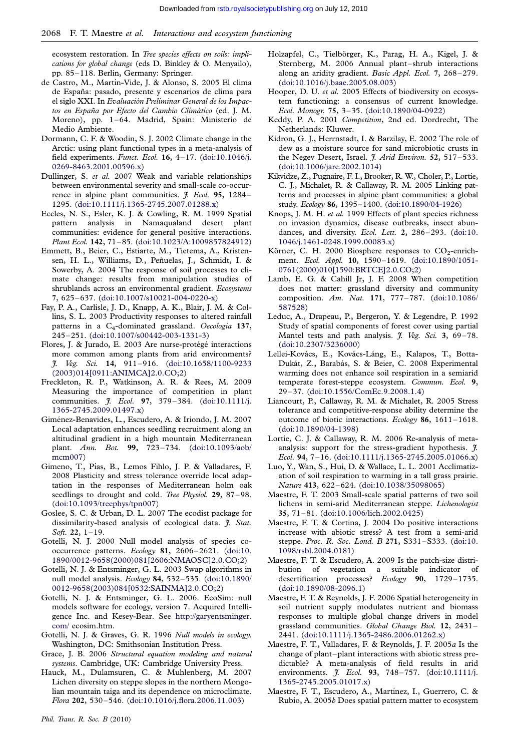<span id="page-12-0"></span>ecosystem restoration. In Tree species effects on soils: implications for global change (eds D. Binkley & O. Menyailo), pp. 85–118. Berlin, Germany: Springer.

- de Castro, M., Martín-Vide, J. & Alonso, S. 2005 El clima de España: pasado, presente y escenarios de clima para el siglo XXI. In Evaluación Preliminar General de los Impactos en España por Efecto del Cambio Climático (ed. J. M. Moreno), pp. 1–64. Madrid, Spain: Ministerio de Medio Ambiente.
- Dormann, C. F. & Woodin, S. J. 2002 Climate change in the Arctic: using plant functional types in a meta-analysis of field experiments. Funct. Ecol. 16, 4–17. [\(doi:10.1046/j.](http://dx.doi.org/doi:10.1046/j.0269-8463.2001.00596.x) [0269-8463.2001.00596.x](http://dx.doi.org/doi:10.1046/j.0269-8463.2001.00596.x))
- Dullinger, S. et al. 2007 Weak and variable relationships between environmental severity and small-scale co-occurrence in alpine plant communities. *J. Ecol.* 95, 1284– 1295. [\(doi:10.1111/j.1365-2745.2007.01288.x](http://dx.doi.org/doi:10.1111/j.1365-2745.2007.01288.x))
- Eccles, N. S., Esler, K. J. & Cowling, R. M. 1999 Spatial pattern analysis in Namaqualand desert plant communities: evidence for general positive interactions. Plant Ecol. 142, 71–85. [\(doi:10.1023/A:1009857824912\)](http://dx.doi.org/doi:10.1023/A:1009857824912)
- Emmett, B., Beier, C., Estiarte, M., Tietema, A., Kristensen, H. L., Williams, D., Peñuelas, J., Schmidt, I. & Sowerby, A. 2004 The response of soil processes to climate change: results from manipulation studies of shrublands across an environmental gradient. Ecosystems 7, 625–637. ([doi:10.1007/s10021-004-0220-x](http://dx.doi.org/doi:10.1007/s10021-004-0220-x))
- Fay, P. A., Carlisle, J. D., Knapp, A. K., Blair, J. M. & Collins, S. L. 2003 Productivity responses to altered rainfall patterns in a C<sub>4</sub>-dominated grassland. Oecologia 137, 245–251. [\(doi:10.1007/s00442-003-1331-3](http://dx.doi.org/doi:10.1007/s00442-003-1331-3))
- Flores, J. & Jurado, E. 2003 Are nurse-protégé interactions more common among plants from arid environments? J. Veg. Sci. 14, 911–916. [\(doi:10.1658/1100-9233](http://dx.doi.org/doi:10.1658/1100-9233(2003)014[0911:ANIMCA]2.0.CO;2) [\(2003\)014\[0911:ANIMCA\]2.0.CO;2](http://dx.doi.org/doi:10.1658/1100-9233(2003)014[0911:ANIMCA]2.0.CO;2))
- Freckleton, R. P., Watkinson, A. R. & Rees, M. 2009 Measuring the importance of competition in plant communities. *J. Ecol.* 97, 379-384. [\(doi:10.1111/j.](http://dx.doi.org/doi:10.1111/j.1365-2745.2009.01497.x) [1365-2745.2009.01497.x](http://dx.doi.org/doi:10.1111/j.1365-2745.2009.01497.x))
- Giménez-Benavides, L., Escudero, A. & Iriondo, J. M. 2007 Local adaptation enhances seedling recruitment along an altitudinal gradient in a high mountain Mediterranean plant. Ann. Bot. 99, 723–734. [\(doi:10.1093/aob/](http://dx.doi.org/doi:10.1093/aob/mcm007) [mcm007\)](http://dx.doi.org/doi:10.1093/aob/mcm007)
- Gimeno, T., Pías, B., Lemos Fihlo, J. P. & Valladares, F. 2008 Plasticity and stress tolerance override local adaptation in the responses of Mediterranean holm oak seedlings to drought and cold. Tree Physiol. 29, 87-98. ([doi:10.1093/treephys/tpn007\)](http://dx.doi.org/doi:10.1093/treephys/tpn007)
- Goslee, S. C. & Urban, D. L. 2007 The ecodist package for dissimilarity-based analysis of ecological data. *J. Stat.* Soft. 22, 1–19.
- Gotelli, N. J. 2000 Null model analysis of species cooccurrence patterns. Ecology 81, 2606–2621. ([doi:10.](http://dx.doi.org/doi:10.1890/0012-9658(2000)081[2606:NMAOSC]2.0.CO;2) [1890/0012-9658\(2000\)081\[2606:NMAOSC\]2.0.CO;2\)](http://dx.doi.org/doi:10.1890/0012-9658(2000)081[2606:NMAOSC]2.0.CO;2)
- Gotelli, N. J. & Entsminger, G. L. 2003 Swap algorithms in null model analysis. Ecology 84, 532–535. [\(doi:10.1890/](http://dx.doi.org/doi:10.1890/0012-9658(2003)084[0532:SAINMA]2.0.CO;2) [0012-9658\(2003\)084\[0532:SAINMA\]2.0.CO;2](http://dx.doi.org/doi:10.1890/0012-9658(2003)084[0532:SAINMA]2.0.CO;2))
- Gotelli, N. J. & Entsminger, G. L. 2006. EcoSim: null models software for ecology, version 7. Acquired Intelligence Inc. and Kesey-Bear. See [http://garyentsminger.](http://garyentsminger.com/) [com/](http://garyentsminger.com/) ecosim.htm.
- Gotelli, N. J. & Graves, G. R. 1996 Null models in ecology. Washington, DC: Smithsonian Institution Press.
- Grace, J. B. 2006 Structural equation modeling and natural systems. Cambridge, UK: Cambridge University Press.
- Hauck, M., Dulamsuren, C. & Muhlenberg, M. 2007 Lichen diversity on steppe slopes in the northern Mongolian mountain taiga and its dependence on microclimate. Flora 202, 530–546. ([doi:10.1016/j.flora.2006.11.003\)](http://dx.doi.org/doi:10.1016/j.flora.2006.11.003)
- Hooper, D. U. et al. 2005 Effects of biodiversity on ecosystem functioning: a consensus of current knowledge. Ecol. Monogr. 75, 3–35. [\(doi:10.1890/04-0922](http://dx.doi.org/doi:10.1890/04-0922))
- Keddy, P. A. 2001 Competition, 2nd ed. Dordrecht, The Netherlands: Kluwer.
- Kidron, G. J., Herrnstadt, I. & Barzilay, E. 2002 The role of dew as a moisture source for sand microbiotic crusts in the Negev Desert, Israel. J. Arid Environ. 52, 517-533. ([doi:10.1006/jare.2002.1014\)](http://dx.doi.org/doi:10.1006/jare.2002.1014)
- Kikvidze, Z., Pugnaire, F. I., Brooker, R. W., Choler, P., Lortie, C. J., Michalet, R. & Callaway, R. M. 2005 Linking patterns and processes in alpine plant communities: a global study. Ecology 86, 1395–1400. [\(doi:10.1890/04-1926\)](http://dx.doi.org/doi:10.1890/04-1926)
- Knops, J. M. H. et al. 1999 Effects of plant species richness on invasion dynamics, disease outbreaks, insect abundances, and diversity. Ecol. Lett. 2, 286-293. ([doi:10.](http://dx.doi.org/doi:10.1046/j.1461-0248.1999.00083.x) [1046/j.1461-0248.1999.00083.x\)](http://dx.doi.org/doi:10.1046/j.1461-0248.1999.00083.x)
- Körner, C. H. 2000 Biosphere responses to  $CO<sub>2</sub>$ -enrichment. Ecol. Appl. 10, 1590–1619. ([doi:10.1890/1051-](http://dx.doi.org/doi:10.1890/1051-0761(2000)010[1590:BRTCE]2.0.CO;2) [0761\(2000\)010\[1590:BRTCE\]2.0.CO;2](http://dx.doi.org/doi:10.1890/1051-0761(2000)010[1590:BRTCE]2.0.CO;2))
- Lamb, E. G. & Cahill Jr, J. F. 2008 When competition does not matter: grassland diversity and community composition. Am. Nat. 171, 777–787. [\(doi:10.1086/](http://dx.doi.org/doi:10.1086/587528) [587528](http://dx.doi.org/doi:10.1086/587528))
- Leduc, A., Drapeau, P., Bergeron, Y. & Legendre, P. 1992 Study of spatial components of forest cover using partial Mantel tests and path analysis.  $\tilde{f}$ . Veg. Sci. 3, 69-78. ([doi:10.2307/3236000\)](http://dx.doi.org/doi:10.2307/3236000)
- Lellei-Kovács, E., Kovács-Láng, E., Kalapos, T., Botta-Dukát, Z., Barabás, S. & Beier, C. 2008 Experimental warming does not enhance soil respiration in a semiarid temperate forest-steppe ecosystem. Commun. Ecol. 9, 29–37. ([doi:10.1556/ComEc.9.2008.1.4\)](http://dx.doi.org/doi:10.1556/ComEc.9.2008.1.4)
- Liancourt, P., Callaway, R. M. & Michalet, R. 2005 Stress tolerance and competitive-response ability determine the outcome of biotic interactions. Ecology 86, 1611–1618. ([doi:10.1890/04-1398\)](http://dx.doi.org/doi:10.1890/04-1398)
- Lortie, C. J. & Callaway, R. M. 2006 Re-analysis of metaanalysis: support for the stress-gradient hypothesis.  $\tilde{f}$ . Ecol. 94, 7–16. ([doi:10.1111/j.1365-2745.2005.01066.x\)](http://dx.doi.org/doi:10.1111/j.1365-2745.2005.01066.x)
- Luo, Y., Wan, S., Hui, D. & Wallace, L. L. 2001 Acclimatization of soil respiration to warming in a tall grass prairie. Nature 413, 622–624. ([doi:10.1038/35098065\)](http://dx.doi.org/doi:10.1038/35098065)
- Maestre, F. T. 2003 Small-scale spatial patterns of two soil lichens in semi-arid Mediterranean steppe. Lichenologist 35, 71–81. [\(doi:10.1006/lich.2002.0425\)](http://dx.doi.org/doi:10.1006/lich.2002.0425)
- Maestre, F. T. & Cortina, J. 2004 Do positive interactions increase with abiotic stress? A test from a semi-arid steppe. Proc. R. Soc. Lond. B 271, S331–S333. ([doi:10.](http://dx.doi.org/doi:10.1098/rsbl.2004.0181) [1098/rsbl.2004.0181](http://dx.doi.org/doi:10.1098/rsbl.2004.0181))
- Maestre, F. T. & Escudero, A. 2009 Is the patch-size distribution of vegetation a suitable indicator of desertification processes? Ecology 90, 1729–1735. ([doi:10.1890/08-2096.1](http://dx.doi.org/doi:10.1890/08-2096.1))
- Maestre, F. T. & Reynolds, J. F. 2006 Spatial heterogeneity in soil nutrient supply modulates nutrient and biomass responses to multiple global change drivers in model grassland communities. Global Change Biol. 12, 2431– 2441. [\(doi:10.1111/j.1365-2486.2006.01262.x](http://dx.doi.org/doi:10.1111/j.1365-2486.2006.01262.x))
- Maestre, F. T., Valladares, F. & Reynolds, J. F. 2005a Is the change of plant–plant interactions with abiotic stress predictable? A meta-analysis of field results in arid environments. *J. Ecol.* 93, 748-757. [\(doi:10.1111/j.](http://dx.doi.org/doi:10.1111/j.1365-2745.2005.01017.x) [1365-2745.2005.01017.x](http://dx.doi.org/doi:10.1111/j.1365-2745.2005.01017.x))
- Maestre, F. T., Escudero, A., Martínez, I., Guerrero, C. & Rubio, A. 2005b Does spatial pattern matter to ecosystem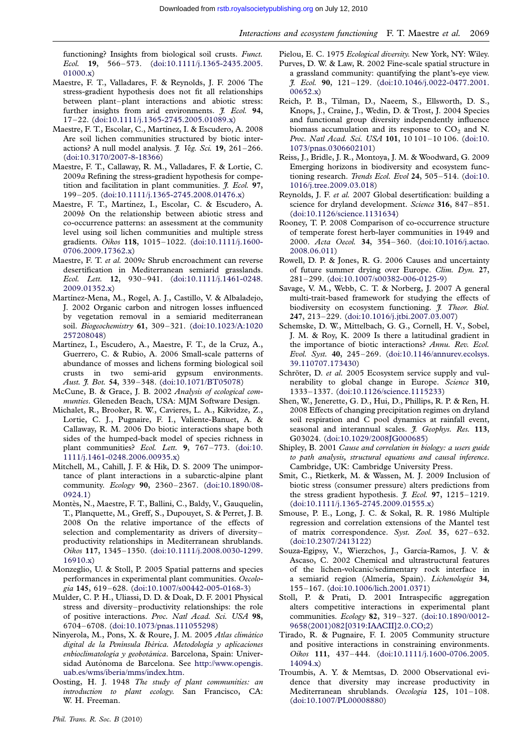<span id="page-13-0"></span>functioning? Insights from biological soil crusts. Funct. Ecol. 19, 566–573. ([doi:10.1111/j.1365-2435.2005.](http://dx.doi.org/doi:10.1111/j.1365-2435.2005.01000.x) [01000.x\)](http://dx.doi.org/doi:10.1111/j.1365-2435.2005.01000.x)

- Maestre, F. T., Valladares, F. & Reynolds, J. F. 2006 The stress-gradient hypothesis does not fit all relationships between plant–plant interactions and abiotic stress: further insights from arid environments. *J. Ecol.* 94, 17–22. [\(doi:10.1111/j.1365-2745.2005.01089.x](http://dx.doi.org/doi:10.1111/j.1365-2745.2005.01089.x))
- Maestre, F. T., Escolar, C., Martínez, I. & Escudero, A. 2008 Are soil lichen communities structured by biotic interactions? A null model analysis.  $J. Veg. Sci. 19, 261-266$ . [\(doi:10.3170/2007-8-18366\)](http://dx.doi.org/doi:10.3170/2007-8-18366)
- Maestre, F. T., Callaway, R. M., Valladares, F. & Lortie, C. 2009a Refining the stress-gradient hypothesis for competition and facilitation in plant communities.  $\tilde{f}$ . Ecol. 97, 199–205. [\(doi:10.1111/j.1365-2745.2008.01476.x](http://dx.doi.org/doi:10.1111/j.1365-2745.2008.01476.x))
- Maestre, F. T., Martínez, I., Escolar, C. & Escudero, A. 2009b On the relationship between abiotic stress and co-occurrence patterns: an assessment at the community level using soil lichen communities and multiple stress gradients. Oikos 118, 1015–1022. ([doi:10.1111/j.1600-](http://dx.doi.org/doi:10.1111/j.1600-0706.2009.17362.x) [0706.2009.17362.x\)](http://dx.doi.org/doi:10.1111/j.1600-0706.2009.17362.x)
- Maestre, F. T. et al. 2009c Shrub encroachment can reverse desertification in Mediterranean semiarid grasslands. Ecol. Lett. 12, 930–941. [\(doi:10.1111/j.1461-0248.](http://dx.doi.org/doi:10.1111/j.1461-0248.2009.01352.x) [2009.01352.x](http://dx.doi.org/doi:10.1111/j.1461-0248.2009.01352.x))
- Martínez-Mena, M., Rogel, A. J., Castillo, V. & Albaladejo, J. 2002 Organic carbon and nitrogen losses influenced by vegetation removal in a semiarid mediterranean soil. Biogeochemistry 61, 309–321. [\(doi:10.1023/A:1020](http://dx.doi.org/doi:10.1023/A:1020257208048) [257208048\)](http://dx.doi.org/doi:10.1023/A:1020257208048)
- Martínez, I., Escudero, A., Maestre, F. T., de la Cruz, A., Guerrero, C. & Rubio, A. 2006 Small-scale patterns of abundance of mosses and lichens forming biological soil crusts in two semi-arid gypsum environments. Aust. J. Bot. 54, 339-348. [\(doi:10.1071/BT05078\)](http://dx.doi.org/doi:10.1071/BT05078)
- McCune, B. & Grace, J. B. 2002 Analysis of ecological communties. Gleneden Beach, USA: MJM Software Design.
- Michalet, R., Brooker, R. W., Cavieres, L. A., Kikvidze, Z., Lortie, C. J., Pugnaire, F. I., Valiente-Banuet, A. & Callaway, R. M. 2006 Do biotic interactions shape both sides of the humped-back model of species richness in plant communities? Ecol. Lett. 9, 767-773. [\(doi:10.](http://dx.doi.org/doi:10.1111/j.1461-0248.2006.00935.x) [1111/j.1461-0248.2006.00935.x](http://dx.doi.org/doi:10.1111/j.1461-0248.2006.00935.x))
- Mitchell, M., Cahill, J. F. & Hik, D. S. 2009 The unimportance of plant interactions in a subarctic-alpine plant community. Ecology 90, 2360–2367. ([doi:10.1890/08-](http://dx.doi.org/doi:10.1890/08-0924.1) [0924.1](http://dx.doi.org/doi:10.1890/08-0924.1))
- Montès, N., Maestre, F. T., Ballini, C., Baldy, V., Gauquelin, T., Planquette, M., Greff, S., Dupouyet, S. & Perret, J. B. 2008 On the relative importance of the effects of selection and complementarity as drivers of diversity– productivity relationships in Mediterranean shrublands. Oikos 117, 1345–1350. ([doi:10.1111/j.2008.0030-1299.](http://dx.doi.org/doi:10.1111/j.2008.0030-1299.16910.x) [16910.x\)](http://dx.doi.org/doi:10.1111/j.2008.0030-1299.16910.x)
- Monzeglio, U. & Stoll, P. 2005 Spatial patterns and species performances in experimental plant communities. Oecologia 145, 619–628. [\(doi:10.1007/s00442-005-0168-3](http://dx.doi.org/doi:10.1007/s00442-005-0168-3))
- Mulder, C. P. H., Uliassi, D. D. & Doak, D. F. 2001 Physical stress and diversity–productivity relationships: the role of positive interactions. Proc. Natl Acad. Sci. USA 98, 6704–6708. [\(doi:10.1073/pnas.111055298](http://dx.doi.org/doi:10.1073/pnas.111055298))
- Ninyerola, M., Pons, X. & Roure, J. M. 2005 Atlas climático digital de la Península Ibérica. Metodología y aplicaciones enbioclimatología y geobotánica. Barcelona, Spain: Universidad Autónoma de Barcelona. See [http://www.opengis.](http://www.opengis.uab.es/wms/iberia/mms/index.htm) [uab.es/wms/iberia/mms/index.htm](http://www.opengis.uab.es/wms/iberia/mms/index.htm).
- Oosting, H. J. 1948 The study of plant communities: an introduction to plant ecology. San Francisco, CA: W. H. Freeman.
- Pielou, E. C. 1975 Ecological diversity. New York, NY: Wiley. Purves, D. W. & Law, R. 2002 Fine-scale spatial structure in a grassland community: quantifying the plant's-eye view. J. Ecol. 90, 121–129. ([doi:10.1046/j.0022-0477.2001.](http://dx.doi.org/doi:10.1046/j.0022-0477.2001.00652.x) [00652.x\)](http://dx.doi.org/doi:10.1046/j.0022-0477.2001.00652.x)
- Reich, P. B., Tilman, D., Naeem, S., Ellsworth, D. S., Knops, J., Craine, J., Wedin, D. & Trost, J. 2004 Species and functional group diversity independently influence biomass accumulation and its response to  $CO<sub>2</sub>$  and N. Proc. Natl Acad. Sci. USA 101, 10 101–10 106. [\(doi:10.](http://dx.doi.org/doi:10.1073/pnas.0306602101) [1073/pnas.0306602101\)](http://dx.doi.org/doi:10.1073/pnas.0306602101)
- Reiss, J., Bridle, J. R., Montoya, J. M. & Woodward, G. 2009 Emerging horizons in biodiversity and ecosystem func-tioning research. Trends Ecol. Evol 24, 505-514. [\(doi:10.](http://dx.doi.org/doi:10.1016/j.tree.2009.03.018) [1016/j.tree.2009.03.018\)](http://dx.doi.org/doi:10.1016/j.tree.2009.03.018)
- Reynolds, J. F. et al. 2007 Global desertification: building a science for dryland development. Science 316, 847-851. [\(doi:10.1126/science.1131634\)](http://dx.doi.org/doi:10.1126/science.1131634)
- Rooney, T. P. 2008 Comparison of co-occurrence structure of temperate forest herb-layer communities in 1949 and 2000. Acta Oecol. 34, 354–360. [\(doi:10.1016/j.actao.](http://dx.doi.org/doi:10.1016/j.actao.2008.06.011) [2008.06.011\)](http://dx.doi.org/doi:10.1016/j.actao.2008.06.011)
- Rowell, D. P. & Jones, R. G. 2006 Causes and uncertainty of future summer drying over Europe. Clim. Dyn. 27, 281–299. [\(doi:10.1007/s00382-006-0125-9](http://dx.doi.org/doi:10.1007/s00382-006-0125-9))
- Savage, V. M., Webb, C. T. & Norberg, J. 2007 A general multi-trait-based framework for studying the effects of biodiversity on ecosystem functioning. *J. Theor. Biol.* 247, 213–229. ([doi:10.1016/j.jtbi.2007.03.007](http://dx.doi.org/doi:10.1016/j.jtbi.2007.03.007))
- Schemske, D. W., Mittelbach, G. G., Cornell, H. V., Sobel, J. M. & Roy, K. 2009 Is there a latitudinal gradient in the importance of biotic interactions? Annu. Rev. Ecol. Evol. Syst. 40, 245–269. ([doi:10.1146/annurev.ecolsys.](http://dx.doi.org/doi:10.1146/annurev.ecolsys.39.110707.173430) [39.110707.173430\)](http://dx.doi.org/doi:10.1146/annurev.ecolsys.39.110707.173430)
- Schröter, D. et al. 2005 Ecosystem service supply and vulnerability to global change in Europe. Science 310, 1333–1337. [\(doi:10.1126/science.1115233](http://dx.doi.org/doi:10.1126/science.1115233))
- Shen, W., Jenerette, G. D., Hui, D., Phillips, R. P. & Ren, H. 2008 Effects of changing precipitation regimes on dryland soil respiration and C pool dynamics at rainfall event, seasonal and interannual scales. *J. Geophys. Res.* 113, G03024. [\(doi:10.1029/2008JG000685\)](http://dx.doi.org/doi:10.1029/2008JG000685)
- Shipley, B. 2001 Cause and correlation in biology: a users guide to path analysis, structural equations and causal inference. Cambridge, UK: Cambridge University Press.
- Smit, C., Rietkerk, M. & Wassen, M. J. 2009 Inclusion of biotic stress (consumer pressure) alters predictions from the stress gradient hypothesis. *J. Ecol.* 97, 1215-1219. [\(doi:10.1111/j.1365-2745.2009.01555.x](http://dx.doi.org/doi:10.1111/j.1365-2745.2009.01555.x))
- Smouse, P. E., Long, J. C. & Sokal, R. R. 1986 Multiple regression and correlation extensions of the Mantel test of matrix correspondence. Syst. Zool. 35, 627–632. [\(doi:10.2307/2413122](http://dx.doi.org/doi:10.2307/2413122))
- Souza-Egipsy, V., Wierzchos, J., García-Ramos, J. V. & Ascaso, C. 2002 Chemical and ultrastructural features of the lichen-volcanic/sedimentary rock interface in a semiarid region (Almería, Spain). Lichenologist 34, 155–167. [\(doi:10.1006/lich.2001.0371](http://dx.doi.org/doi:10.1006/lich.2001.0371))
- Stoll, P. & Prati, D. 2001 Intraspecific aggregation alters competitive interactions in experimental plant communities. Ecology 82, 319–327. ([doi:10.1890/0012-](http://dx.doi.org/doi:10.1890/0012-9658(2001)082[0319:IAACII]2.0.CO;2) [9658\(2001\)082\[0319:IAACII\]2.0.CO;2](http://dx.doi.org/doi:10.1890/0012-9658(2001)082[0319:IAACII]2.0.CO;2))
- Tirado, R. & Pugnaire, F. I. 2005 Community structure and positive interactions in constraining environments. Oikos 111, 437–444. ([doi:10.1111/j.1600-0706.2005.](http://dx.doi.org/doi:10.1111/j.1600-0706.2005.14094.x) [14094.x\)](http://dx.doi.org/doi:10.1111/j.1600-0706.2005.14094.x)
- Troumbis, A. Y. & Memtsas, D. 2000 Observational evidence that diversity may increase productivity in Mediterranean shrublands. Oecologia 125, 101–108. [\(doi:10.1007/PL00008880](http://dx.doi.org/doi:10.1007/PL00008880))